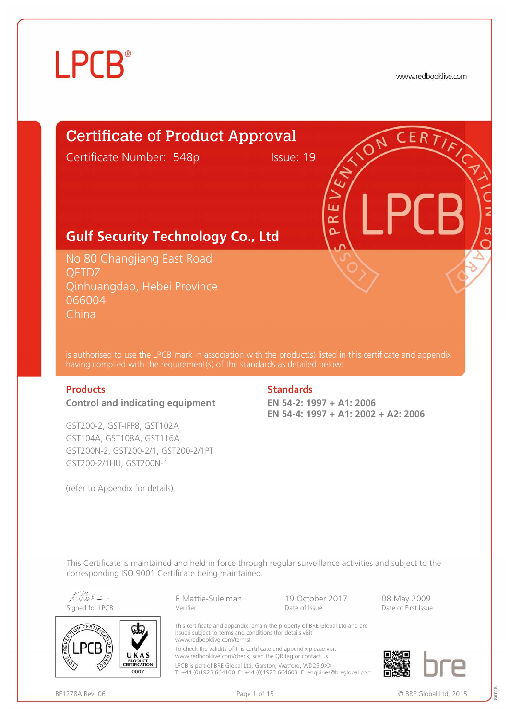## **LPCB**<sup>®</sup>

www.redbooklive.com

## Certificate of Product Approval

Certificate Number: 548p Issue: 19

## **Gulf Security Technology Co., Ltd**

No 80 Changjiang East Road QETDZ Qinhuangdao, Hebei Province 066004 China

is authorised to use the LPCB mark in association with the product(s) listed in this certificate and appendix having complied with the requirement(s) of the standards as detailed below:

### **Control and indicating equipment**

GST200-2, GST-IFP8, GST102A GST104A, GST108A, GST116A GST200N-2, GST200-2/1, GST200-2/1PT GST200-2/1HU, GST200N-1

(refer to Appendix for details)

### **Products Standards**

**EN 54-2: 1997 + A1: 2006 EN 54-4: 1997 + A1: 2002 + A2: 2006**

n  $\propto$ 

This Certificate is maintained and held in force through regular surveillance activities and subject to the corresponding ISO 9001 Certificate being maintained.

|                                         | E Mattie-Suleiman                                                                                                                | 19 October 2017                                                             | 08 May 2009         |  |
|-----------------------------------------|----------------------------------------------------------------------------------------------------------------------------------|-----------------------------------------------------------------------------|---------------------|--|
| Signed for LPCB                         | Verifier                                                                                                                         | Date of Issue                                                               | Date of First Issue |  |
|                                         | issued subject to terms and conditions (for details visit<br>www.redbooklive.com/terms).                                         | This certificate and appendix remain the property of BRE Global Ltd and are |                     |  |
| PREV<br>UKAS                            | To check the validity of this certificate and appendix please visit<br>www.redbooklive.com/check, scan the QR tag or contact us. |                                                                             |                     |  |
| <b>PRODUCT</b><br>CERTIFICATION<br>0007 | LPCB is part of BRE Global Ltd, Garston, Watford, WD25 9XX                                                                       | T: +44 (0)1923 664100 F: +44 (0)1923 664603 E: enquiries@breglobal.com      |                     |  |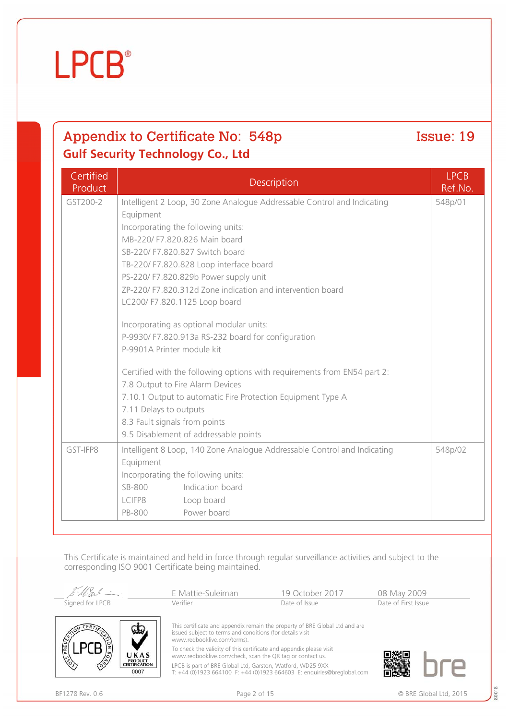## Product Description LPCB GST200-2 Intelligent 2 Loop, 30 Zone Analogue Addressable Control and Indicating

**Certified** 

|          | Equipment                                                                |         |
|----------|--------------------------------------------------------------------------|---------|
|          | Incorporating the following units:                                       |         |
|          | MB-220/ F7.820.826 Main board                                            |         |
|          | SB-220/ F7.820.827 Switch board                                          |         |
|          | TB-220/ F7.820.828 Loop interface board                                  |         |
|          | PS-220/ F7.820.829b Power supply unit                                    |         |
|          | ZP-220/ F7.820.312d Zone indication and intervention board               |         |
|          | LC200/ F7.820.1125 Loop board                                            |         |
|          |                                                                          |         |
|          | Incorporating as optional modular units:                                 |         |
|          | P-9930/ F7.820.913a RS-232 board for configuration                       |         |
|          | P-9901A Printer module kit                                               |         |
|          | Certified with the following options with requirements from EN54 part 2: |         |
|          | 7.8 Output to Fire Alarm Devices                                         |         |
|          | 7.10.1 Output to automatic Fire Protection Equipment Type A              |         |
|          | 7.11 Delays to outputs                                                   |         |
|          | 8.3 Fault signals from points                                            |         |
|          | 9.5 Disablement of addressable points                                    |         |
| GST-IFP8 | Intelligent 8 Loop, 140 Zone Analogue Addressable Control and Indicating | 548p/02 |
|          | Equipment                                                                |         |
|          | Incorporating the following units:                                       |         |
|          | Indication board<br>SB-800                                               |         |
|          | LCIFP8<br>Loop board                                                     |         |

This Certificate is maintained and held in force through regular surveillance activities and subject to the corresponding ISO 9001 Certificate being maintained.

|                 |                                                | E Mattie-Suleiman                                                                                                                | 19 October 2017                                                                                                | 08 May 2009         |
|-----------------|------------------------------------------------|----------------------------------------------------------------------------------------------------------------------------------|----------------------------------------------------------------------------------------------------------------|---------------------|
| Signed for LPCB |                                                | Verifier                                                                                                                         | Date of Issue                                                                                                  | Date of First Issue |
|                 | لتنتفط                                         | issued subject to terms and conditions (for details visit<br>www.redbooklive.com/terms).                                         | This certificate and appendix remain the property of BRE Global Ltd and are                                    |                     |
|                 | UKAS                                           | To check the validity of this certificate and appendix please visit<br>www.redbooklive.com/check, scan the QR tag or contact us. |                                                                                                                |                     |
|                 | <b>PRODUCT</b><br><b>CERTIFICATION</b><br>0007 | LPCB is part of BRE Global Ltd, Garston, Watford, WD25 9XX                                                                       | $T_{1,1}$ $(0)1022$ $661100$ $F_{1,1}$ $(0)1022$ $661602$ $F_{1,2}$ provision $\odot$ produced compared to $m$ |                     |

LPCB is part of BRE Global Ltd, Garston, Watford, WD25 9XX T: +44 (0)1923 664100 F: +44 (0)1923 664603 E: enquiries@breglobal.com



Ref.No.

548p/01



## **LPCB**<sup>®</sup>

## Appendix to Certificate No: 548p Issue: 19 **Gulf Security Technology Co., Ltd**

PB-800 Power board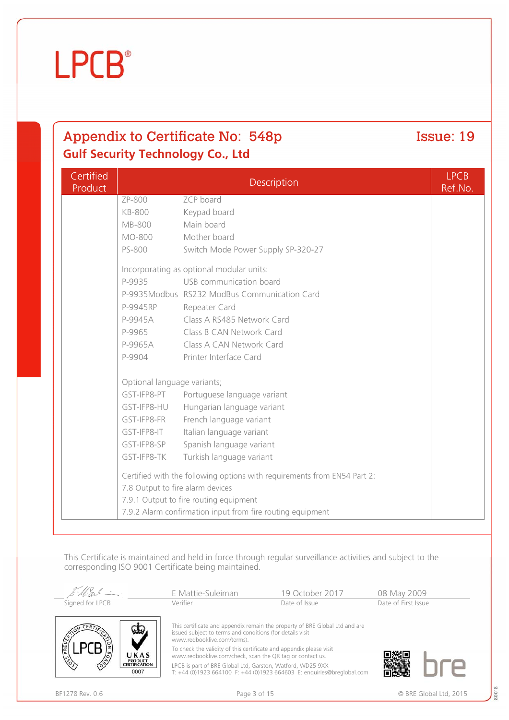**LPCB**<sup>®</sup>

## Appendix to Certificate No: 548p Issue: 19 **Gulf Security Technology Co., Ltd**

| Certified<br>Product |                                  | Description                                                              | <b>LPCB</b><br>Ref.No. |
|----------------------|----------------------------------|--------------------------------------------------------------------------|------------------------|
|                      | ZP-800                           | ZCP board                                                                |                        |
|                      | <b>KB-800</b>                    | Keypad board                                                             |                        |
|                      | <b>MB-800</b>                    | Main board                                                               |                        |
|                      | MO-800                           | Mother board                                                             |                        |
|                      | PS-800                           | Switch Mode Power Supply SP-320-27                                       |                        |
|                      |                                  | Incorporating as optional modular units:                                 |                        |
|                      | P-9935                           | USB communication board                                                  |                        |
|                      |                                  | P-9935Modbus RS232 ModBus Communication Card                             |                        |
|                      | P-9945RP                         | Repeater Card                                                            |                        |
|                      | P-9945A                          | Class A RS485 Network Card                                               |                        |
|                      | P-9965                           | Class B CAN Network Card                                                 |                        |
|                      | P-9965A                          | Class A CAN Network Card                                                 |                        |
|                      | P-9904                           | Printer Interface Card                                                   |                        |
|                      | Optional language variants;      |                                                                          |                        |
|                      | GST-IFP8-PT                      | Portuguese language variant                                              |                        |
|                      | GST-IFP8-HU                      | Hungarian language variant                                               |                        |
|                      | GST-IFP8-FR                      | French language variant                                                  |                        |
|                      | GST-IFP8-IT                      | Italian language variant                                                 |                        |
|                      | GST-IFP8-SP                      | Spanish language variant                                                 |                        |
|                      | GST-IFP8-TK                      | Turkish language variant                                                 |                        |
|                      |                                  | Certified with the following options with requirements from EN54 Part 2: |                        |
|                      | 7.8 Output to fire alarm devices |                                                                          |                        |
|                      |                                  | 7.9.1 Output to fire routing equipment                                   |                        |
|                      |                                  | 7.9.2 Alarm confirmation input from fire routing equipment               |                        |

This Certificate is maintained and held in force through regular surveillance activities and subject to the corresponding ISO 9001 Certificate being maintained.

|                                                | E Mattie-Suleiman                                                                                                                | 19 October 2017                                                                                 | 08 May 2009         |
|------------------------------------------------|----------------------------------------------------------------------------------------------------------------------------------|-------------------------------------------------------------------------------------------------|---------------------|
| Signed for LPCB                                | Verifier                                                                                                                         | Date of Issue                                                                                   | Date of First Issue |
|                                                | issued subject to terms and conditions (for details visit<br>www.redbooklive.com/terms).                                         | This certificate and appendix remain the property of BRE Global Ltd and are                     |                     |
| UKAS                                           | To check the validity of this certificate and appendix please visit<br>www.redbooklive.com/check, scan the QR tag or contact us. |                                                                                                 |                     |
| <b>PRODUCT</b><br><b>CERTIFICATION</b><br>0007 | LPCB is part of BRE Global Ltd, Garston, Watford, WD25 9XX                                                                       | $T_{1,1}$ $(0)1022.661100$ $F_{1,1}$ $(0)1022.661602$ $F_{1,2}$ provision $\odot$ broadebal com |                     |

LPCB is part of BRE Global Ltd, Garston, Watford, WD25 9XX T: +44 (0)1923 664100 F: +44 (0)1923 664603 E: enquiries@breglobal.com

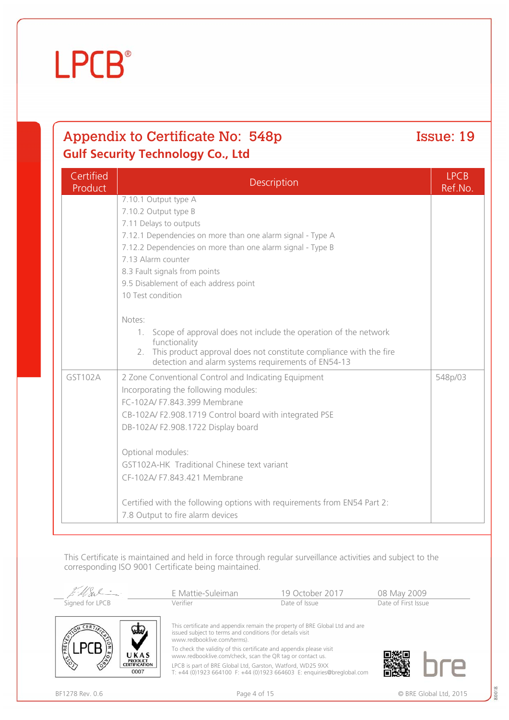MSv

E Mattie-Suleiman 19 October 2017 08 May 2009<br>Verifier Date of Issue Date of Issue Date of First Issue Signed for LPCB Verifier Date of Issue Date of First Issue **IIKAS PRODUCT**<br>CERTIFICATION

 $0007$ 

corresponding ISO 9001 Certificate being maintained.

This certificate and appendix remain the property of BRE Global Ltd and are issued subject to terms and conditions (for details visit www.redbooklive.com/terms). To check the validity of this certificate and appendix please visit

This Certificate is maintained and held in force through regular surveillance activities and subject to the

www.redbooklive.com/check, scan the QR tag or contact us.

LPCB is part of BRE Global Ltd, Garston, Watford, WD25 9XX T: +44 (0)1923 664100 F: +44 (0)1923 664603 E: enquiries@breglobal.com

## Appendix to Certificate No: 548p Issue: 19 **Gulf Security Technology Co., Ltd**  $Cartified$

| Certified<br>Product | Description                                                                                                                     | <b>LPCB</b><br>Ref.No. |  |  |
|----------------------|---------------------------------------------------------------------------------------------------------------------------------|------------------------|--|--|
|                      | 7.10.1 Output type A                                                                                                            |                        |  |  |
|                      | 7.10.2 Output type B                                                                                                            |                        |  |  |
|                      | 7.11 Delays to outputs                                                                                                          |                        |  |  |
|                      | 7.12.1 Dependencies on more than one alarm signal - Type A                                                                      |                        |  |  |
|                      | 7.12.2 Dependencies on more than one alarm signal - Type B                                                                      |                        |  |  |
|                      | 7.13 Alarm counter                                                                                                              |                        |  |  |
|                      | 8.3 Fault signals from points                                                                                                   |                        |  |  |
|                      | 9.5 Disablement of each address point                                                                                           |                        |  |  |
|                      | 10 Test condition                                                                                                               |                        |  |  |
|                      | Notes:                                                                                                                          |                        |  |  |
|                      | Scope of approval does not include the operation of the network<br>$1_{\cdot}$                                                  |                        |  |  |
|                      | functionality                                                                                                                   |                        |  |  |
|                      | This product approval does not constitute compliance with the fire<br>2.<br>detection and alarm systems requirements of EN54-13 |                        |  |  |
| GST102A              | 2 Zone Conventional Control and Indicating Equipment                                                                            | 548p/03                |  |  |
|                      | Incorporating the following modules:                                                                                            |                        |  |  |
|                      | FC-102A/ F7.843.399 Membrane                                                                                                    |                        |  |  |
|                      | CB-102A/F2.908.1719 Control board with integrated PSE                                                                           |                        |  |  |
|                      | DB-102A/ F2.908.1722 Display board                                                                                              |                        |  |  |
|                      | Optional modules:                                                                                                               |                        |  |  |
|                      | GST102A-HK Traditional Chinese text variant                                                                                     |                        |  |  |
|                      | CF-102A/ F7.843.421 Membrane                                                                                                    |                        |  |  |
|                      |                                                                                                                                 |                        |  |  |
|                      | Certified with the following options with requirements from EN54 Part 2:                                                        |                        |  |  |
|                      | 7.8 Output to fire alarm devices                                                                                                |                        |  |  |



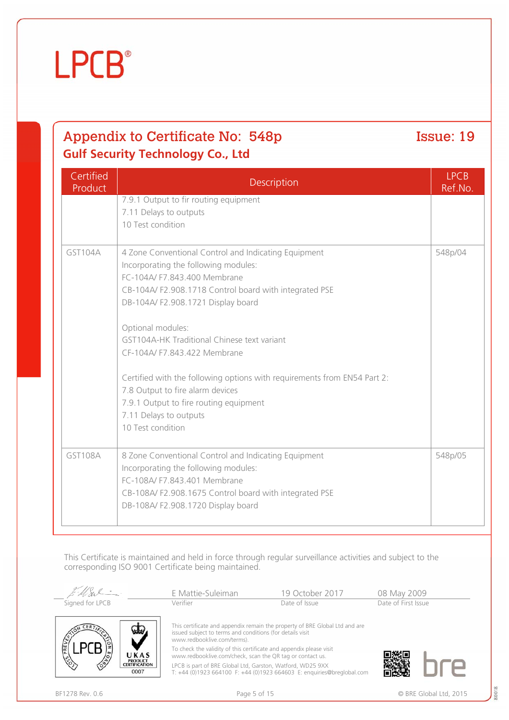$0007$ 



## Appendix to Certificate No: 548p Issue: 19 **Gulf Security Technology Co., Ltd**

| Certified<br>Product | Description                                                                                                                                                                                                                                                                                                                                                                                                                                                                                                                             | <b>LPCB</b><br>Ref.No. |
|----------------------|-----------------------------------------------------------------------------------------------------------------------------------------------------------------------------------------------------------------------------------------------------------------------------------------------------------------------------------------------------------------------------------------------------------------------------------------------------------------------------------------------------------------------------------------|------------------------|
|                      | 7.9.1 Output to fir routing equipment<br>7.11 Delays to outputs<br>10 Test condition                                                                                                                                                                                                                                                                                                                                                                                                                                                    |                        |
| GST104A              | 4 Zone Conventional Control and Indicating Equipment<br>Incorporating the following modules:<br>FC-104A/ F7.843.400 Membrane<br>CB-104A/F2.908.1718 Control board with integrated PSE<br>DB-104A/F2.908.1721 Display board<br>Optional modules:<br>GST104A-HK Traditional Chinese text variant<br>CF-104A/ F7.843.422 Membrane<br>Certified with the following options with requirements from EN54 Part 2:<br>7.8 Output to fire alarm devices<br>7.9.1 Output to fire routing equipment<br>7.11 Delays to outputs<br>10 Test condition | 548p/04                |
| GST108A              | 8 Zone Conventional Control and Indicating Equipment<br>Incorporating the following modules:<br>FC-108A/ F7.843.401 Membrane<br>CB-108A/F2.908.1675 Control board with integrated PSE<br>DB-108A/ F2.908.1720 Display board                                                                                                                                                                                                                                                                                                             | 548p/05                |

This Certificate is maintained and held in force through regular surveillance activities and subject to the corresponding ISO 9001 Certificate being maintained.

|                     |                               | E Mattie-Suleiman                                                                                                                | 19 October 2017                                                             | 08 May 2009         |
|---------------------|-------------------------------|----------------------------------------------------------------------------------------------------------------------------------|-----------------------------------------------------------------------------|---------------------|
| Signed for LPCB     |                               | Verifier                                                                                                                         | Date of Issue                                                               | Date of First Issue |
|                     | سلط                           | issued subject to terms and conditions (for details visit<br>www.redbooklive.com/terms).                                         | This certificate and appendix remain the property of BRE Global Ltd and are |                     |
|                     | UKAS<br><b>PRODUCT</b>        | To check the validity of this certificate and appendix please visit<br>www.redbooklive.com/check, scan the QR tag or contact us. |                                                                             |                     |
| $\langle 8 \rangle$ | <b>CERTIFICATION</b><br>0.007 | LPCB is part of BRE Global Ltd, Garston, Watford, WD25 9XX                                                                       |                                                                             |                     |

LPCB is part of BRE Global Ltd, Garston, Watford, WD25 9XX T: +44 (0)1923 664100 F: +44 (0)1923 664603 E: enquiries@breglobal.com

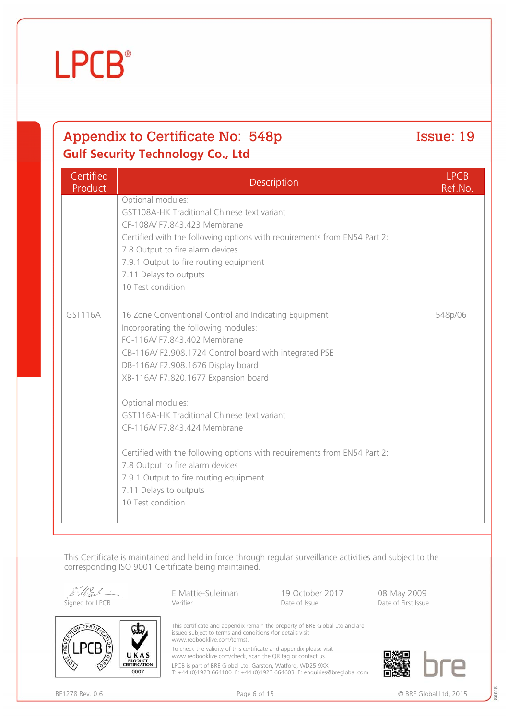| This Certificate is maintained a<br>corresponding ISO 9001 Certif |  |
|-------------------------------------------------------------------|--|
| $E$ -USI -                                                        |  |

## **Certified** Product Description LPCB Optional modules:

**Gulf Security Technology Co., Ltd**

**LPCB**<sup>®</sup>

## GST108A-HK Traditional Chinese text variant CF-108A/ F7.843.423 Membrane Certified with the following options with requirements from EN54 Part 2: 7.8 Output to fire alarm devices 7.9.1 Output to fire routing equipment 7.11 Delays to outputs 10 Test condition GST116A 16 Zone Conventional Control and Indicating Equipment Incorporating the following modules: FC-116A/ F7.843.402 Membrane CB-116A/ F2.908.1724 Control board with integrated PSE DB-116A/ F2.908.1676 Display board XB-116A/ F7.820.1677 Expansion board Optional modules: GST116A-HK Traditional Chinese text variant CF-116A/ F7.843.424 Membrane Certified with the following options with requirements from EN54 Part 2: 548p/06

7.8 Output to fire alarm devices

7.9.1 Output to fire routing equipment

7.11 Delays to outputs

10 Test condition

and held in force through regular surveillance activities and subject to the ficate being maintained.

|                                  | E Mattie-Suleiman                                                                                                                | 19 October 2017                                                             | 08 May 2009         |  |
|----------------------------------|----------------------------------------------------------------------------------------------------------------------------------|-----------------------------------------------------------------------------|---------------------|--|
| Signed for LPCB                  | Verifier                                                                                                                         | Date of Issue                                                               | Date of First Issue |  |
|                                  | issued subject to terms and conditions (for details visit<br>www.redbooklive.com/terms).                                         | This certificate and appendix remain the property of BRE Global Ltd and are |                     |  |
| UKAS                             | To check the validity of this certificate and appendix please visit<br>www.redbooklive.com/check, scan the QR tag or contact us. |                                                                             |                     |  |
| PRODUCT<br>CERTIFICATION<br>0007 | LPCB is part of BRE Global Ltd, Garston, Watford, WD25 9XX                                                                       | T: +44 (0)1923 664100 F: +44 (0)1923 664603 E: enquiries@breglobal.com      |                     |  |

## Appendix to Certificate No: 548p Issue: 19

Ref.No.

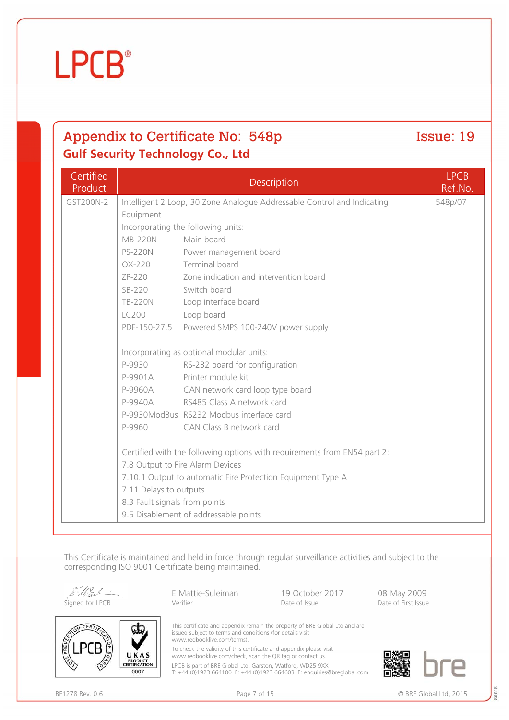

### **Certified** Product Description LPCB Ref.No. GST200N-2 Intelligent 2 Loop, 30 Zone Analogue Addressable Control and Indicating Equipment Incorporating the following units: MB-220N Main board PS-220N Power management board OX-220 Terminal board ZP-220 Zone indication and intervention board SB-220 Switch board TB-220N Loop interface board LC200 Loop board PDF-150-27.5 Powered SMPS 100-240V power supply Incorporating as optional modular units: P-9930 RS-232 board for configuration P-9901A Printer module kit P-9960A CAN network card loop type board P-9940A RS485 Class A network card P-9930ModBus RS232 Modbus interface card P-9960 CAN Class B network card Certified with the following options with requirements from EN54 part 2: 7.8 Output to Fire Alarm Devices 7.10.1 Output to automatic Fire Protection Equipment Type A 7.11 Delays to outputs 8.3 Fault signals from points 9.5 Disablement of addressable points 548p/07

This Certificate is maintained and held in force through regular surveillance activities and subject to the corresponding ISO 9001 Certificate being maintained.

|                                                         | E Mattie-Suleiman                                                                                                                                                       | 19 October 2017 | 08 May 2009         |
|---------------------------------------------------------|-------------------------------------------------------------------------------------------------------------------------------------------------------------------------|-----------------|---------------------|
| Signed for LPCB                                         | Verifier                                                                                                                                                                | Date of Issue   | Date of First Issue |
|                                                         | This certificate and appendix remain the property of BRE Global Ltd and are<br>issued subject to terms and conditions (for details visit<br>www.redbooklive.com/terms). |                 |                     |
| UKAS                                                    | To check the validity of this certificate and appendix please visit<br>www.redbooklive.com/check, scan the QR tag or contact us.                                        |                 |                     |
| $\frac{1}{3}$<br>PRODUCT<br>CERTIFICATION<br>∕ॐ<br>0007 | LPCB is part of BRE Global Ltd, Garston, Watford, WD25 9XX<br>T: +44 (0)1923 664100 F: +44 (0)1923 664603 E: enquiries@breglobal.com                                    |                 |                     |

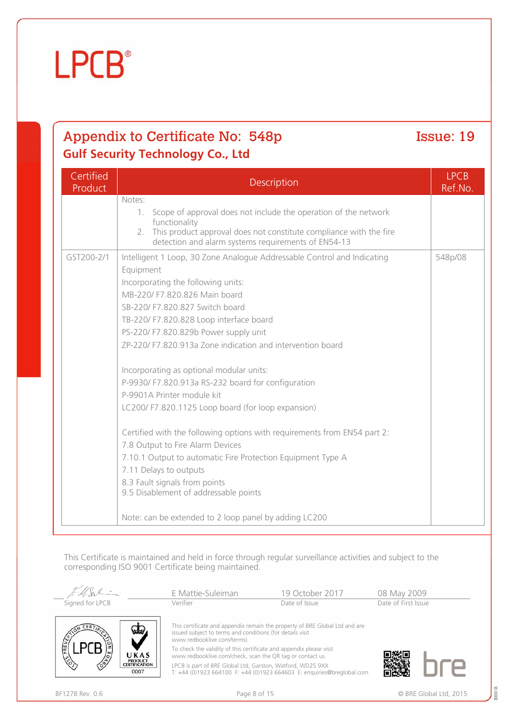| Certified<br>Product | Description                                                                                                                  | <b>LPCB</b><br>Ref.No. |  |  |
|----------------------|------------------------------------------------------------------------------------------------------------------------------|------------------------|--|--|
|                      | Notes:                                                                                                                       |                        |  |  |
|                      | Scope of approval does not include the operation of the network<br>1.<br>functionality                                       |                        |  |  |
|                      | 2. This product approval does not constitute compliance with the fire<br>detection and alarm systems requirements of EN54-13 |                        |  |  |
| GST200-2/1           | Intelligent 1 Loop, 30 Zone Analogue Addressable Control and Indicating<br>Equipment                                         | 548p/08                |  |  |
|                      | Incorporating the following units:                                                                                           |                        |  |  |
|                      | MB-220/ F7.820.826 Main board                                                                                                |                        |  |  |
|                      | SB-220/ F7.820.827 Switch board                                                                                              |                        |  |  |
|                      | TB-220/ F7.820.828 Loop interface board                                                                                      |                        |  |  |
|                      | PS-220/ F7.820.829b Power supply unit                                                                                        |                        |  |  |
|                      | ZP-220/ F7.820.913a Zone indication and intervention board                                                                   |                        |  |  |
|                      | Incorporating as optional modular units:                                                                                     |                        |  |  |
|                      | P-9930/ F7.820.913a RS-232 board for configuration                                                                           |                        |  |  |
|                      | P-9901A Printer module kit                                                                                                   |                        |  |  |
|                      | LC200/ F7.820.1125 Loop board (for loop expansion)                                                                           |                        |  |  |
|                      | Certified with the following options with requirements from EN54 part 2:                                                     |                        |  |  |
|                      | 7.8 Output to Fire Alarm Devices                                                                                             |                        |  |  |
|                      | 7.10.1 Output to automatic Fire Protection Equipment Type A                                                                  |                        |  |  |
|                      | 7.11 Delays to outputs                                                                                                       |                        |  |  |
|                      | 8.3 Fault signals from points<br>9.5 Disablement of addressable points                                                       |                        |  |  |
|                      |                                                                                                                              |                        |  |  |
|                      | Note: can be extended to 2 loop panel by adding LC200                                                                        |                        |  |  |

This Certificate is maintained and held in force through regular surveillance activities and subject to the corresponding ISO 9001 Certificate being maintained.

|                        | E Mattie-Suleiman                                                                                                                                                       | 19 October 2017 | 08 May 2009         |
|------------------------|-------------------------------------------------------------------------------------------------------------------------------------------------------------------------|-----------------|---------------------|
| Signed for LPCB        | Verifier                                                                                                                                                                | Date of Issue   | Date of First Issue |
| PREVE                  | This certificate and appendix remain the property of BRE Global Ltd and are<br>issued subject to terms and conditions (for details visit<br>www.redbooklive.com/terms). |                 |                     |
| UKAS<br><b>PRODUCT</b> | To check the validity of this certificate and appendix please visit<br>www.redbooklive.com/check, scan the QR tag or contact us.                                        |                 |                     |
| <b>CERTIFICATION</b>   | LPCB is part of BRE Global Ltd, Garston, Watford, WD25 9XX                                                                                                              |                 |                     |

LPCB is part of BRE Global Ltd, Garston, Watford, WD25 9XX T: +44 (0)1923 664100 F: +44 (0)1923 664603 E: enquiries@breglobal.com

0007

鶯瓣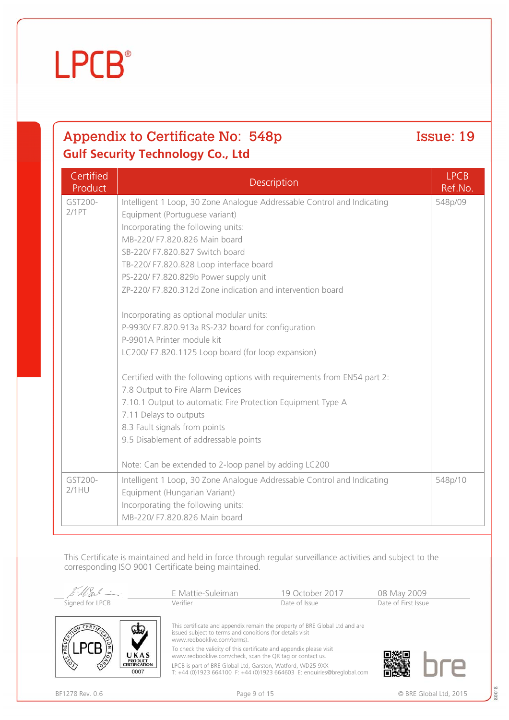0007

# **LPCB**<sup>®</sup>

## Appendix to Certificate No: 548p Issue: 19 **Gulf Security Technology Co., Ltd**

| Certified<br>Product | Description                                                                                               | <b>LPCB</b><br>Ref.No. |
|----------------------|-----------------------------------------------------------------------------------------------------------|------------------------|
| GST200-<br>2/1PT     | Intelligent 1 Loop, 30 Zone Analogue Addressable Control and Indicating<br>Equipment (Portuguese variant) | 548p/09                |
|                      | Incorporating the following units:                                                                        |                        |
|                      | MB-220/ F7.820.826 Main board                                                                             |                        |
|                      | SB-220/ F7.820.827 Switch board                                                                           |                        |
|                      | TB-220/ F7.820.828 Loop interface board                                                                   |                        |
|                      | PS-220/ F7.820.829b Power supply unit                                                                     |                        |
|                      | ZP-220/ F7.820.312d Zone indication and intervention board                                                |                        |
|                      | Incorporating as optional modular units:                                                                  |                        |
|                      | P-9930/ F7.820.913a RS-232 board for configuration                                                        |                        |
|                      | P-9901A Printer module kit                                                                                |                        |
|                      | LC200/ F7.820.1125 Loop board (for loop expansion)                                                        |                        |
|                      | Certified with the following options with requirements from EN54 part 2:                                  |                        |
|                      | 7.8 Output to Fire Alarm Devices                                                                          |                        |
|                      | 7.10.1 Output to automatic Fire Protection Equipment Type A                                               |                        |
|                      | 7.11 Delays to outputs                                                                                    |                        |
|                      | 8.3 Fault signals from points<br>9.5 Disablement of addressable points                                    |                        |
|                      |                                                                                                           |                        |
|                      | Note: Can be extended to 2-loop panel by adding LC200                                                     |                        |
| GST200-              | Intelligent 1 Loop, 30 Zone Analogue Addressable Control and Indicating                                   | 548p/10                |
| $2/1$ HU             | Equipment (Hungarian Variant)                                                                             |                        |
|                      | Incorporating the following units:                                                                        |                        |
|                      | MB-220/ F7.820.826 Main board                                                                             |                        |

This Certificate is maintained and held in force through regular surveillance activities and subject to the corresponding ISO 9001 Certificate being maintained.

|                                                | E Mattie-Suleiman                                                                                                                                                                              | 19 October 2017 | 08 May 2009         |
|------------------------------------------------|------------------------------------------------------------------------------------------------------------------------------------------------------------------------------------------------|-----------------|---------------------|
| Signed for LPCB                                | Verifier                                                                                                                                                                                       | Date of Issue   | Date of First Issue |
|                                                | This certificate and appendix remain the property of BRE Global Ltd and are<br>issued subject to terms and conditions (for details visit<br>www.redbooklive.com/terms).                        |                 |                     |
| UKAS<br><b>PRODUCT</b><br><b>CERTIFICATION</b> | To check the validity of this certificate and appendix please visit<br>www.redbooklive.com/check, scan the QR tag or contact us.<br>LPCB is part of BRE Global Ltd, Garston, Watford, WD25 9XX |                 |                     |

LPCB is part of BRE Global Ltd, Garston, Watford, WD25 9XX T: +44 (0)1923 664100 F: +44 (0)1923 664603 E: enquiries@breglobal.com

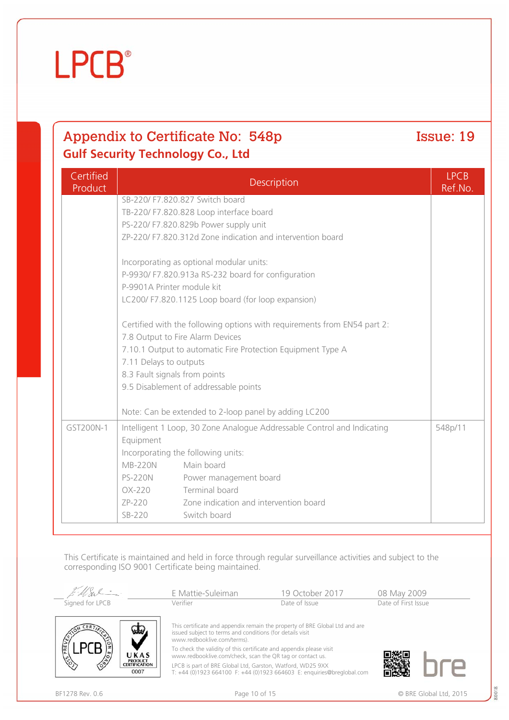0007



## Appendix to Certificate No: 548p Issue: 19 **Gulf Security Technology Co., Ltd**

| Certified<br>Product | Description                                           |                                                                          | <b>LPCB</b><br>Ref.No. |
|----------------------|-------------------------------------------------------|--------------------------------------------------------------------------|------------------------|
|                      | SB-220/ F7.820.827 Switch board                       |                                                                          |                        |
|                      |                                                       | TB-220/ F7.820.828 Loop interface board                                  |                        |
|                      |                                                       | PS-220/ F7.820.829b Power supply unit                                    |                        |
|                      |                                                       | ZP-220/ F7.820.312d Zone indication and intervention board               |                        |
|                      |                                                       | Incorporating as optional modular units:                                 |                        |
|                      |                                                       | P-9930/ F7.820.913a RS-232 board for configuration                       |                        |
|                      | P-9901A Printer module kit                            |                                                                          |                        |
|                      |                                                       | LC200/ F7.820.1125 Loop board (for loop expansion)                       |                        |
|                      |                                                       | Certified with the following options with requirements from EN54 part 2: |                        |
|                      | 7.8 Output to Fire Alarm Devices                      |                                                                          |                        |
|                      |                                                       | 7.10.1 Output to automatic Fire Protection Equipment Type A              |                        |
|                      | 7.11 Delays to outputs                                |                                                                          |                        |
|                      | 8.3 Fault signals from points                         |                                                                          |                        |
|                      | 9.5 Disablement of addressable points                 |                                                                          |                        |
|                      | Note: Can be extended to 2-loop panel by adding LC200 |                                                                          |                        |
| GST200N-1            |                                                       | Intelligent 1 Loop, 30 Zone Analogue Addressable Control and Indicating  | 548p/11                |
|                      | Equipment                                             |                                                                          |                        |
|                      | Incorporating the following units:                    |                                                                          |                        |
|                      | <b>MB-220N</b>                                        | Main board                                                               |                        |
|                      | <b>PS-220N</b>                                        | Power management board                                                   |                        |
|                      | OX-220                                                | Terminal board                                                           |                        |
|                      | ZP-220                                                | Zone indication and intervention board                                   |                        |
|                      | SB-220                                                | Switch board                                                             |                        |

This Certificate is maintained and held in force through regular surveillance activities and subject to the corresponding ISO 9001 Certificate being maintained.

|                                                            | E Mattie-Suleiman                                                                                                                | 19 October 2017                                                             | 08 May 2009         |
|------------------------------------------------------------|----------------------------------------------------------------------------------------------------------------------------------|-----------------------------------------------------------------------------|---------------------|
| Signed for LPCB                                            | Verifier                                                                                                                         | Date of Issue                                                               | Date of First Issue |
| 垃圾                                                         | issued subject to terms and conditions (for details visit<br>www.redbooklive.com/terms).                                         | This certificate and appendix remain the property of BRE Global Ltd and are |                     |
| UKAS                                                       | To check the validity of this certificate and appendix please visit<br>www.redbooklive.com/check, scan the QR tag or contact us. |                                                                             |                     |
| $\sqrt{\circ}$<br><b>PRODUCT<br/>CERTIFICATION</b><br>---- | LPCB is part of BRE Global Ltd, Garston, Watford, WD25 9XX                                                                       |                                                                             |                     |

LPCB is part of BRE Global Ltd, Garston, Watford, WD25 9XX T: +44 (0)1923 664100 F: +44 (0)1923 664603 E: enquiries@breglobal.com ▒▒ ۳ ï.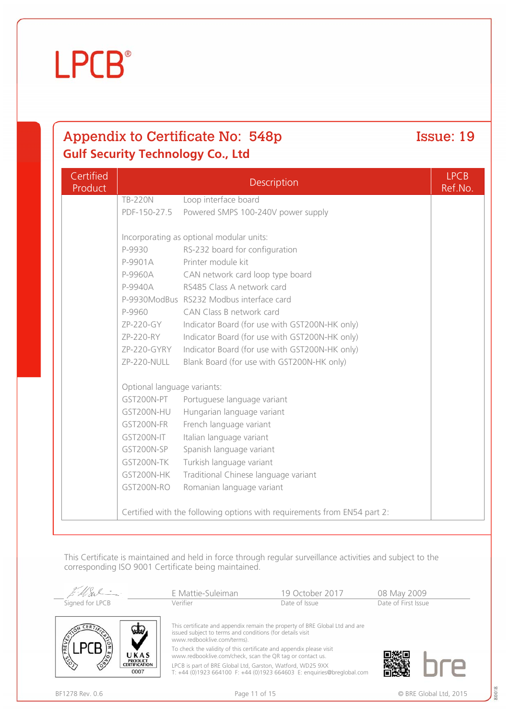伦

 $0007$ 

**LPCB** 

## Appendix to Certificate No: 548p Issue: 19 **Gulf Security Technology Co., Ltd**

Certified Product Description LPCB Ref.No. TB-220N Loop interface board PDF-150-27.5 Powered SMPS 100-240V power supply Incorporating as optional modular units: P-9930 RS-232 board for configuration P-9901A Printer module kit P-9960A CAN network card loop type board P-9940A RS485 Class A network card P-9930ModBus RS232 Modbus interface card P-9960 CAN Class B network card ZP-220-GY Indicator Board (for use with GST200N-HK only) ZP-220-RY Indicator Board (for use with GST200N-HK only) ZP-220-GYRY Indicator Board (for use with GST200N-HK only) ZP-220-NULL Blank Board (for use with GST200N-HK only) Optional language variants: GST200N-PT Portuguese language variant GST200N-HU Hungarian language variant GST200N-FR French language variant GST200N-IT Italian language variant GST200N-SP Spanish language variant GST200N-TK Turkish language variant GST200N-HK Traditional Chinese language variant GST200N-RO Romanian language variant Certified with the following options with requirements from EN54 part 2:

This Certificate is maintained and held in force through regular surveillance activities and subject to the corresponding ISO 9001 Certificate being maintained.

|                                                 | E Mattie-Suleiman                                                                                                                                                       | 19 October 2017 | 08 May 2009         |
|-------------------------------------------------|-------------------------------------------------------------------------------------------------------------------------------------------------------------------------|-----------------|---------------------|
| Signed for LPCB                                 | Verifier                                                                                                                                                                | Date of Issue   | Date of First Issue |
|                                                 | This certificate and appendix remain the property of BRE Global Ltd and are<br>issued subject to terms and conditions (for details visit<br>www.redbooklive.com/terms). |                 |                     |
| UKAS<br><b>PRODUCT<br/>CERTIFICATION</b><br>ζò, | To check the validity of this certificate and appendix please visit<br>www.redbooklive.com/check, scan the QR tag or contact us.                                        |                 |                     |
|                                                 | LPCB is part of BRE Global Ltd. Garston. Watford. WD25 9XX                                                                                                              |                 |                     |

LPCB is part of BRE Global Ltd, Garston, Watford, WD25 9XX T: +44 (0)1923 664100 F: +44 (0)1923 664603 E: enquiries@breglobal.com



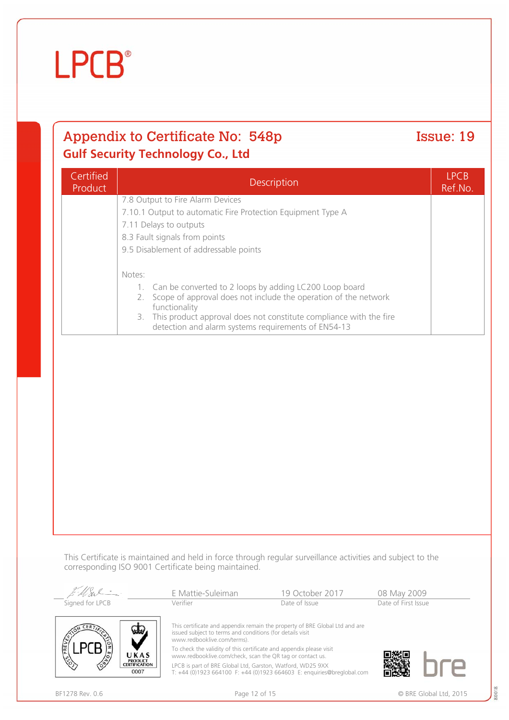Certified

**LPCB**<sup>®</sup>

## Appendix to Certificate No: 548p Issue: 19 **Gulf Security Technology Co., Ltd**

7.8 Output to Fire Alarm Devices

functionality

9.5 Disablement of addressable points

7.11 Delays to outputs 8.3 Fault signals from points

Notes:

This Certificate is maintained and held in force through regular surveillance activities and subject to the corresponding ISO 9001 Certificate being maintained.

| Ellel -                            | E Mattie-Suleiman                                                                                                                | 19 October 2017                                                             | 08 May 2009         |
|------------------------------------|----------------------------------------------------------------------------------------------------------------------------------|-----------------------------------------------------------------------------|---------------------|
| Signed for LPCB                    | Verifier                                                                                                                         | Date of Issue                                                               | Date of First Issue |
|                                    | issued subject to terms and conditions (for details visit<br>www.redbooklive.com/terms).                                         | This certificate and appendix remain the property of BRE Global Ltd and are |                     |
| UKAS<br><b>PRODUCT</b>             | To check the validity of this certificate and appendix please visit<br>www.redbooklive.com/check, scan the QR tag or contact us. |                                                                             |                     |
| ∕ॐ<br><b>CERTIFICATION</b><br>0007 | LPCB is part of BRE Global Ltd, Garston, Watford, WD25 9XX                                                                       | T: +44 (0)1923 664100 F: +44 (0)1923 664603 E: enquiries@breglobal.com      |                     |

Product Description LPCB

7.10.1 Output to automatic Fire Protection Equipment Type A

1. Can be converted to 2 loops by adding LC200 Loop board 2. Scope of approval does not include the operation of the network

detection and alarm systems requirements of EN54-13

3. This product approval does not constitute compliance with the fire

80018

Ref.No.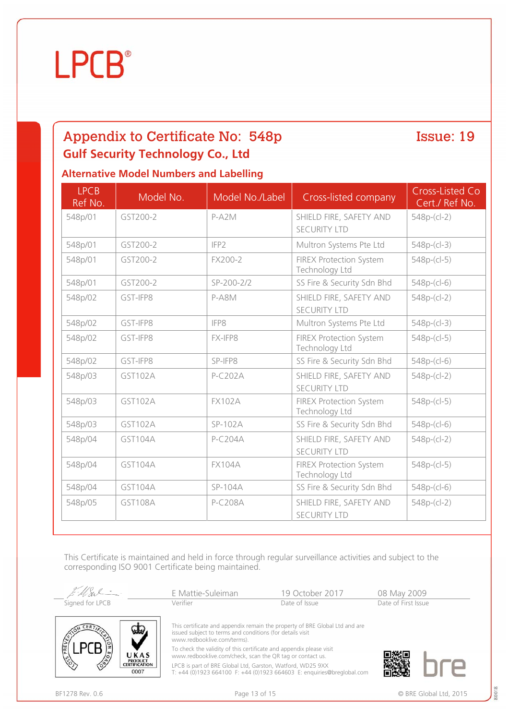## **LPCB**<sup>®</sup>

## Appendix to Certificate No: 548p Issue: 19 **Gulf Security Technology Co., Ltd**

### **Alternative Model Numbers and Labelling**

| <b>LPCB</b><br>Ref No. | Model No.      | Model No./Label  | Cross-listed company                             | Cross-Listed Co<br>Cert./ Ref No. |
|------------------------|----------------|------------------|--------------------------------------------------|-----------------------------------|
| 548p/01                | GST200-2       | $P- A2 M$        | SHIELD FIRE, SAFETY AND<br><b>SECURITY LTD</b>   | $548p-(c-2)$                      |
| 548p/01                | GST200-2       | IFP2             | Multron Systems Pte Ltd                          | $548p-(cl-3)$                     |
| 548p/01                | GST200-2       | FX200-2          | <b>FIREX Protection System</b><br>Technology Ltd | $548p-(c-5)$                      |
| 548p/01                | GST200-2       | SP-200-2/2       | SS Fire & Security Sdn Bhd                       | $548p-(c-6)$                      |
| 548p/02                | GST-IFP8       | P-A8M            | SHIELD FIRE, SAFETY AND<br><b>SECURITY LTD</b>   | $548p-(c-2)$                      |
| 548p/02                | GST-IFP8       | IFP <sub>8</sub> | Multron Systems Pte Ltd                          | $548p-(c-3)$                      |
| 548p/02                | GST-IFP8       | FX-IFP8          | <b>FIREX Protection System</b><br>Technology Ltd | $548p-(c-5)$                      |
| 548p/02                | GST-IFP8       | SP-IFP8          | SS Fire & Security Sdn Bhd                       | $548p-(c-6)$                      |
| 548p/03                | GST102A        | $P-C202A$        | SHIELD FIRE, SAFETY AND<br><b>SECURITY LTD</b>   | $548p-(c-2)$                      |
| 548p/03                | GST102A        | <b>FX102A</b>    | <b>FIREX Protection System</b><br>Technology Ltd | $548p-(c-5)$                      |
| 548p/03                | GST102A        | SP-102A          | SS Fire & Security Sdn Bhd                       | $548p-(c-6)$                      |
| 548p/04                | GST104A        | $P-C204A$        | SHIELD FIRE, SAFETY AND<br><b>SECURITY LTD</b>   | $548p-(c-2)$                      |
| 548p/04                | GST104A        | <b>FX104A</b>    | <b>FIREX Protection System</b><br>Technology Ltd | $548p-(c-5)$                      |
| 548p/04                | GST104A        | SP-104A          | SS Fire & Security Sdn Bhd                       | $548p-(c-6)$                      |
| 548p/05                | <b>GST108A</b> | P-C208A          | SHIELD FIRE, SAFETY AND<br><b>SECURITY LTD</b>   | $548p-(cl-2)$                     |

This Certificate is maintained and held in force through regular surveillance activities and subject to the corresponding ISO 9001 Certificate being maintained.

MSv E Mattie-Suleiman 19 October 2017 08 May 2009<br>Verifier Date of Issue Date of Issue Date of First Issue Signed for LPCB Verifier Date of Issue Date of First Issue This certificate and appendix remain the property of BRE Global Ltd and are issued subject to terms and conditions (for details visit



www.redbooklive.com/terms).

To check the validity of this certificate and appendix please visit www.redbooklive.com/check, scan the QR tag or contact us. LPCB is part of BRE Global Ltd, Garston, Watford, WD25 9XX

T: +44 (0)1923 664100 F: +44 (0)1923 664603 E: enquiries@breglobal.com

BF1278 Rev. 0.6 Page 13 of 15 © BRE Global Ltd, 2015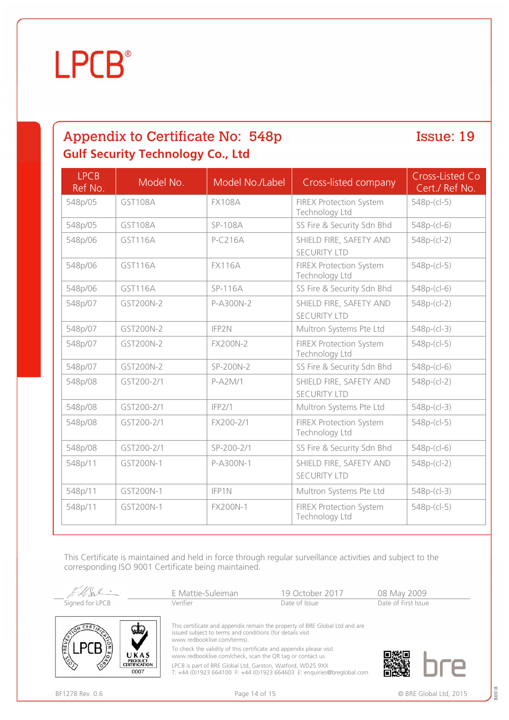

| <b>LPCB</b><br>Ref No. | Model No.      | Model No./Label | Cross-listed company                             | Cross-Listed Co<br>Cert./ Ref No. |
|------------------------|----------------|-----------------|--------------------------------------------------|-----------------------------------|
| 548p/05                | GST108A        | <b>FX108A</b>   | <b>FIREX Protection System</b><br>Technology Ltd | $548p-(c-5)$                      |
| 548p/05                | GST108A        | SP-108A         | SS Fire & Security Sdn Bhd                       | $548p-(c-6)$                      |
| 548p/06                | <b>GST116A</b> | P-C216A         | SHIELD FIRE, SAFETY AND<br><b>SECURITY LTD</b>   | $548p-(c-2)$                      |
| 548p/06                | GST116A        | <b>FX116A</b>   | <b>FIREX Protection System</b><br>Technology Ltd | $548p-(c-5)$                      |
| 548p/06                | GST116A        | SP-116A         | SS Fire & Security Sdn Bhd                       | $548p-(c-6)$                      |
| 548p/07                | GST200N-2      | P-A300N-2       | SHIELD FIRE, SAFETY AND<br><b>SECURITY LTD</b>   | $548p-(c-2)$                      |
| 548p/07                | GST200N-2      | IFP2N           | Multron Systems Pte Ltd                          | $548p-(cl-3)$                     |
| 548p/07                | GST200N-2      | <b>FX200N-2</b> | <b>FIREX Protection System</b><br>Technology Ltd | $548p-(c-5)$                      |
| 548p/07                | GST200N-2      | SP-200N-2       | SS Fire & Security Sdn Bhd                       | $548p-(c-6)$                      |
| 548p/08                | GST200-2/1     | P-A2M/1         | SHIELD FIRE, SAFETY AND<br><b>SECURITY LTD</b>   | 548p-(cl-2)                       |
| 548p/08                | GST200-2/1     | IFP2/1          | Multron Systems Pte Ltd                          | $548p-(cl-3)$                     |
| 548p/08                | GST200-2/1     | FX200-2/1       | <b>FIREX Protection System</b><br>Technology Ltd | $548p-(c-5)$                      |
| 548p/08                | GST200-2/1     | SP-200-2/1      | SS Fire & Security Sdn Bhd                       | $548p-(c-6)$                      |
| 548p/11                | GST200N-1      | P-A300N-1       | SHIELD FIRE, SAFETY AND<br><b>SECURITY LTD</b>   | $548p-(c-2)$                      |
| 548p/11                | GST200N-1      | IFP1N           | Multron Systems Pte Ltd                          | $548p-(cl-3)$                     |
| 548p/11                | GST200N-1      | FX200N-1        | <b>FIREX Protection System</b><br>Technology Ltd | $548p-(c-5)$                      |

This Certificate is maintained and held in force through regular surveillance activities and subject to the corresponding ISO 9001 Certificate being maintained.

MSv E Mattie-Suleiman 19 October 2017 08 May 2009<br>Verifier Date of Issue Date of Issue Date of First Issue Signed for LPCB Verifier Date of Issue Date of First Issue This certificate and appendix remain the property of BRE Global Ltd and are



issued subject to terms and conditions (for details visit www.redbooklive.com/terms).

To check the validity of this certificate and appendix please visit www.redbooklive.com/check, scan the QR tag or contact us. LPCB is part of BRE Global Ltd, Garston, Watford, WD25 9XX

T: +44 (0)1923 664100 F: +44 (0)1923 664603 E: enquiries@breglobal.com